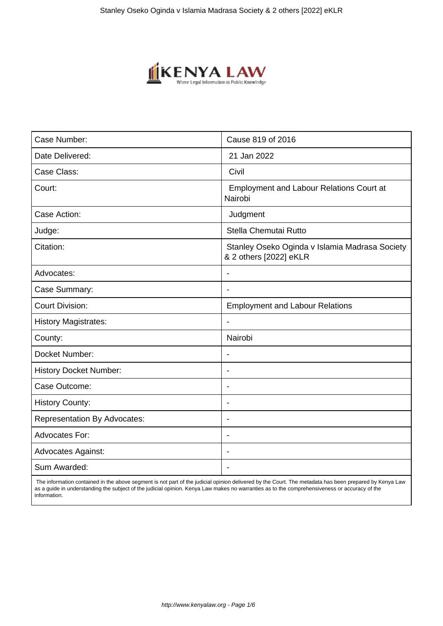

| Case Number:                        | Cause 819 of 2016                                                        |
|-------------------------------------|--------------------------------------------------------------------------|
| Date Delivered:                     | 21 Jan 2022                                                              |
| Case Class:                         | Civil                                                                    |
| Court:                              | <b>Employment and Labour Relations Court at</b><br>Nairobi               |
| Case Action:                        | Judgment                                                                 |
| Judge:                              | Stella Chemutai Rutto                                                    |
| Citation:                           | Stanley Oseko Oginda v Islamia Madrasa Society<br>& 2 others [2022] eKLR |
| Advocates:                          |                                                                          |
| Case Summary:                       | $\blacksquare$                                                           |
| <b>Court Division:</b>              | <b>Employment and Labour Relations</b>                                   |
| <b>History Magistrates:</b>         | $\blacksquare$                                                           |
| County:                             | Nairobi                                                                  |
| Docket Number:                      | $\blacksquare$                                                           |
| <b>History Docket Number:</b>       |                                                                          |
| Case Outcome:                       | $\blacksquare$                                                           |
| <b>History County:</b>              |                                                                          |
| <b>Representation By Advocates:</b> | $\blacksquare$                                                           |
| Advocates For:                      | $\overline{\phantom{0}}$                                                 |
| <b>Advocates Against:</b>           | $\overline{\phantom{0}}$                                                 |
| Sum Awarded:                        |                                                                          |

 The information contained in the above segment is not part of the judicial opinion delivered by the Court. The metadata has been prepared by Kenya Law as a guide in understanding the subject of the judicial opinion. Kenya Law makes no warranties as to the comprehensiveness or accuracy of the information.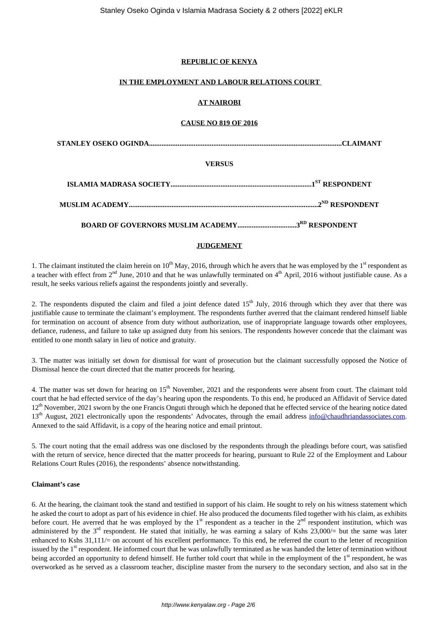## **REPUBLIC OF KENYA**

## **IN THE EMPLOYMENT AND LABOUR RELATIONS COURT**

## **AT NAIROBI**

## **CAUSE NO 819 OF 2016**

**STANLEY OSEKO OGINDA............................................................................................................CLAIMANT**

## **VERSUS**

**BOARD OF GOVERNORS MUSLIM ACADEMY.................................3RD RESPONDENT**

## **JUDGEMENT**

1. The claimant instituted the claim herein on  $10^{th}$  May, 2016, through which he avers that he was employed by the  $1<sup>st</sup>$  respondent as a teacher with effect from  $2<sup>nd</sup>$  June, 2010 and that he was unlawfully terminated on  $4<sup>th</sup>$  April, 2016 without justifiable cause. As a result, he seeks various reliefs against the respondents jointly and severally.

2. The respondents disputed the claim and filed a joint defence dated  $15<sup>th</sup>$  July, 2016 through which they aver that there was justifiable cause to terminate the claimant's employment. The respondents further averred that the claimant rendered himself liable for termination on account of absence from duty without authorization, use of inappropriate language towards other employees, defiance, rudeness, and failure to take up assigned duty from his seniors. The respondents however concede that the claimant was entitled to one month salary in lieu of notice and gratuity.

3. The matter was initially set down for dismissal for want of prosecution but the claimant successfully opposed the Notice of Dismissal hence the court directed that the matter proceeds for hearing.

4. The matter was set down for hearing on  $15<sup>th</sup>$  November, 2021 and the respondents were absent from court. The claimant told court that he had effected service of the day's hearing upon the respondents. To this end, he produced an Affidavit of Service dated  $12<sup>th</sup>$  November, 2021 sworn by the one Francis Onguti through which he deponed that he effected service of the hearing notice dated  $13<sup>th</sup>$  August, 2021 electronically upon the respondents' Advocates, through the email address info@chaudhriandassociates.com. Annexed to the said Affidavit, is a copy of the hearing notice and email printout.

5. The court noting that the email address was one disclosed by the respondents through the pleadings before court, was satisfied with the return of service, hence directed that the matter proceeds for hearing, pursuant to Rule 22 of the Employment and Labour Relations Court Rules (2016), the respondents' absence notwithstanding.

## **Claimant's case**

6. At the hearing, the claimant took the stand and testified in support of his claim. He sought to rely on his witness statement which he asked the court to adopt as part of his evidence in chief. He also produced the documents filed together with his claim, as exhibits before court. He averred that he was employed by the  $1<sup>st</sup>$  respondent as a teacher in the  $2<sup>nd</sup>$  respondent institution, which was administered by the  $3^{rd}$  respondent. He stated that initially, he was earning a salary of Kshs 23,000/= but the same was later enhanced to Kshs 31,111/= on account of his excellent performance. To this end, he referred the court to the letter of recognition issued by the 1<sup>st</sup> respondent. He informed court that he was unlawfully terminated as he was handed the letter of termination without being accorded an opportunity to defend himself. He further told court that while in the employment of the 1<sup>st</sup> respondent, he was overworked as he served as a classroom teacher, discipline master from the nursery to the secondary section, and also sat in the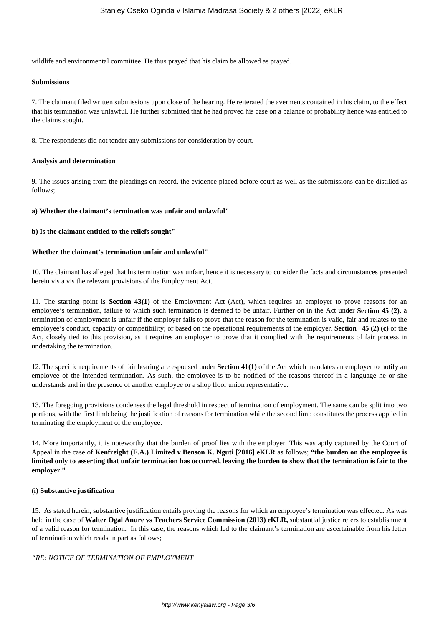wildlife and environmental committee. He thus prayed that his claim be allowed as prayed.

#### **Submissions**

7. The claimant filed written submissions upon close of the hearing. He reiterated the averments contained in his claim, to the effect that his termination was unlawful. He further submitted that he had proved his case on a balance of probability hence was entitled to the claims sought.

8. The respondents did not tender any submissions for consideration by court.

#### **Analysis and determination**

9. The issues arising from the pleadings on record, the evidence placed before court as well as the submissions can be distilled as follows;

#### **a) Whether the claimant's termination was unfair and unlawful"**

#### **b) Is the claimant entitled to the reliefs sought"**

#### **Whether the claimant's termination unfair and unlawful"**

10. The claimant has alleged that his termination was unfair, hence it is necessary to consider the facts and circumstances presented herein vis a vis the relevant provisions of the Employment Act.

11. The starting point is **Section 43(1)** of the Employment Act (Act), which requires an employer to prove reasons for an employee's termination, failure to which such termination is deemed to be unfair. Further on in the Act under **Section 45 (2)**, a termination of employment is unfair if the employer fails to prove that the reason for the termination is valid, fair and relates to the employee's conduct, capacity or compatibility; or based on the operational requirements of the employer. **Section 45 (2) (c)** of the Act, closely tied to this provision, as it requires an employer to prove that it complied with the requirements of fair process in undertaking the termination.

12. The specific requirements of fair hearing are espoused under **Section 41(1)** of the Act which mandates an employer to notify an employee of the intended termination. As such, the employee is to be notified of the reasons thereof in a language he or she understands and in the presence of another employee or a shop floor union representative.

13. The foregoing provisions condenses the legal threshold in respect of termination of employment. The same can be split into two portions, with the first limb being the justification of reasons for termination while the second limb constitutes the process applied in terminating the employment of the employee.

14. More importantly, it is noteworthy that the burden of proof lies with the employer. This was aptly captured by the Court of Appeal in the case of **Kenfreight (E.A.) Limited v Benson K. Nguti [2016] eKLR** as follows; **"the burden on the employee is limited only to asserting that unfair termination has occurred, leaving the burden to show that the termination is fair to the employer."**

#### **(i) Substantive justification**

15. As stated herein, substantive justification entails proving the reasons for which an employee's termination was effected. As was held in the case of **Walter Ogal Anure vs Teachers Service Commission (2013) eKLR,** substantial justice refers to establishment of a valid reason for termination. In this case, the reasons which led to the claimant's termination are ascertainable from his letter of termination which reads in part as follows;

## *"RE: NOTICE OF TERMINATION OF EMPLOYMENT*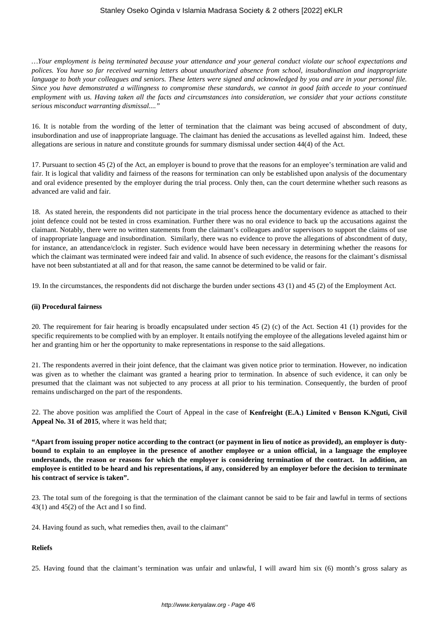*…Your employment is being terminated because your attendance and your general conduct violate our school expectations and polices. You have so far received warning letters about unauthorized absence from school, insubordination and inappropriate language to both your colleagues and seniors. These letters were signed and acknowledged by you and are in your personal file. Since you have demonstrated a willingness to compromise these standards, we cannot in good faith accede to your continued employment with us. Having taken all the facts and circumstances into consideration, we consider that your actions constitute serious misconduct warranting dismissal...."*

16. It is notable from the wording of the letter of termination that the claimant was being accused of abscondment of duty, insubordination and use of inappropriate language. The claimant has denied the accusations as levelled against him. Indeed, these allegations are serious in nature and constitute grounds for summary dismissal under section 44(4) of the Act.

17. Pursuant to section 45 (2) of the Act, an employer is bound to prove that the reasons for an employee's termination are valid and fair. It is logical that validity and fairness of the reasons for termination can only be established upon analysis of the documentary and oral evidence presented by the employer during the trial process. Only then, can the court determine whether such reasons as advanced are valid and fair.

18. As stated herein, the respondents did not participate in the trial process hence the documentary evidence as attached to their joint defence could not be tested in cross examination. Further there was no oral evidence to back up the accusations against the claimant. Notably, there were no written statements from the claimant's colleagues and/or supervisors to support the claims of use of inappropriate language and insubordination. Similarly, there was no evidence to prove the allegations of abscondment of duty, for instance, an attendance/clock in register. Such evidence would have been necessary in determining whether the reasons for which the claimant was terminated were indeed fair and valid. In absence of such evidence, the reasons for the claimant's dismissal have not been substantiated at all and for that reason, the same cannot be determined to be valid or fair.

19. In the circumstances, the respondents did not discharge the burden under sections 43 (1) and 45 (2) of the Employment Act.

#### **(ii) Procedural fairness**

20. The requirement for fair hearing is broadly encapsulated under section 45 (2) (c) of the Act. Section 41 (1) provides for the specific requirements to be complied with by an employer. It entails notifying the employee of the allegations leveled against him or her and granting him or her the opportunity to make representations in response to the said allegations.

21. The respondents averred in their joint defence, that the claimant was given notice prior to termination. However, no indication was given as to whether the claimant was granted a hearing prior to termination. In absence of such evidence, it can only be presumed that the claimant was not subjected to any process at all prior to his termination. Consequently, the burden of proof remains undischarged on the part of the respondents.

22. The above position was amplified the Court of Appeal in the case of **Kenfreight (E.A.) Limited v Benson K.Nguti, Civil Appeal No. 31 of 2015**, where it was held that;

**"Apart from issuing proper notice according to the contract (or payment in lieu of notice as provided), an employer is dutybound to explain to an employee in the presence of another employee or a union official, in a language the employee understands, the reason or reasons for which the employer is considering termination of the contract. In addition, an employee is entitled to be heard and his representations, if any, considered by an employer before the decision to terminate his contract of service is taken".**

23. The total sum of the foregoing is that the termination of the claimant cannot be said to be fair and lawful in terms of sections 43(1) and 45(2) of the Act and I so find.

24. Having found as such, what remedies then, avail to the claimant"

## **Reliefs**

25. Having found that the claimant's termination was unfair and unlawful, I will award him six (6) month's gross salary as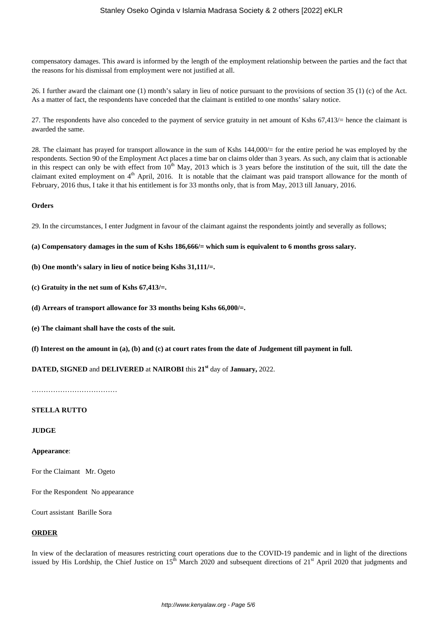compensatory damages. This award is informed by the length of the employment relationship between the parties and the fact that the reasons for his dismissal from employment were not justified at all.

26. I further award the claimant one (1) month's salary in lieu of notice pursuant to the provisions of section 35 (1) (c) of the Act. As a matter of fact, the respondents have conceded that the claimant is entitled to one months' salary notice.

27. The respondents have also conceded to the payment of service gratuity in net amount of Kshs 67,413/= hence the claimant is awarded the same.

28. The claimant has prayed for transport allowance in the sum of Kshs 144,000/= for the entire period he was employed by the respondents. Section 90 of the Employment Act places a time bar on claims older than 3 years. As such, any claim that is actionable in this respect can only be with effect from  $10<sup>th</sup>$  May, 2013 which is 3 years before the institution of the suit, till the date the claimant exited employment on 4<sup>th</sup> April, 2016. It is notable that the claimant was paid transport allowance for the month of February, 2016 thus, I take it that his entitlement is for 33 months only, that is from May, 2013 till January, 2016.

#### **Orders**

29. In the circumstances, I enter Judgment in favour of the claimant against the respondents jointly and severally as follows;

**(a) Compensatory damages in the sum of Kshs 186,666/= which sum is equivalent to 6 months gross salary.**

**(b) One month's salary in lieu of notice being Kshs 31,111/=.**

**(c) Gratuity in the net sum of Kshs 67,413/=.**

**(d) Arrears of transport allowance for 33 months being Kshs 66,000/=.** 

**(e) The claimant shall have the costs of the suit.**

**(f) Interest on the amount in (a), (b) and (c) at court rates from the date of Judgement till payment in full.**

**DATED, SIGNED** and **DELIVERED** at **NAIROBI** this **21st** day of **January,** 2022.

………………………………

## **STELLA RUTTO**

**JUDGE**

#### **Appearance**:

For the Claimant Mr. Ogeto

For the Respondent No appearance

Court assistant Barille Sora

## **ORDER**

In view of the declaration of measures restricting court operations due to the COVID-19 pandemic and in light of the directions issued by His Lordship, the Chief Justice on  $15<sup>th</sup>$  March 2020 and subsequent directions of  $21<sup>st</sup>$  April 2020 that judgments and